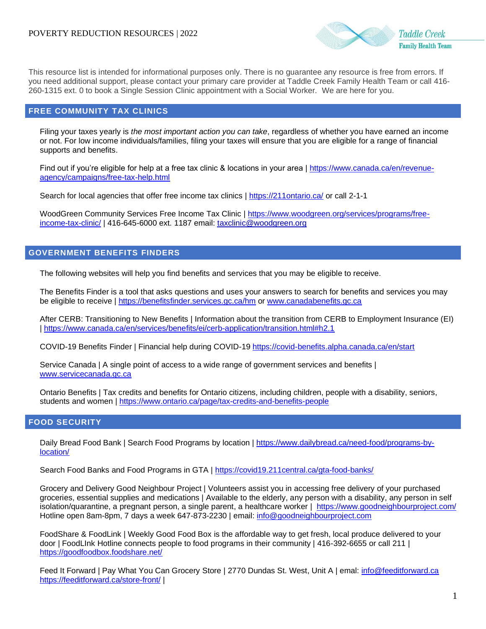

This resource list is intended for informational purposes only. There is no guarantee any resource is free from errors. If you need additional support, please contact your primary care provider at Taddle Creek Family Health Team or call 416- 260-1315 ext. 0 to book a Single Session Clinic appointment with a Social Worker. We are here for you.

#### **FREE COMMUNITY TAX CLINICS**

Filing your taxes yearly is *the most important action you can take*, regardless of whether you have earned an income or not. For low income individuals/families, filing your taxes will ensure that you are eligible for a range of financial supports and benefits.

Find out if you're eligible for help at a free tax clinic & locations in your area | [https://www.canada.ca/en/revenue](https://www.canada.ca/en/revenue-agency/campaigns/free-tax-help.html)[agency/campaigns/free-tax-help.html](https://www.canada.ca/en/revenue-agency/campaigns/free-tax-help.html)

Search for local agencies that offer free income tax clinics |<https://211ontario.ca/> or call 2-1-1

WoodGreen Community Services Free Income Tax Clinic | [https://www.woodgreen.org/services/programs/free](https://www.woodgreen.org/services/programs/free-income-tax-clinic/)[income-tax-clinic/](https://www.woodgreen.org/services/programs/free-income-tax-clinic/) | 416-645-6000 ext. 1187 email: [taxclinic@woodgreen.org](mailto:taxclinic@woodgreen.org)

# **GOVERNMENT BENEFITS FINDERS**

The following websites will help you find benefits and services that you may be eligible to receive.

The Benefits Finder is a tool that asks questions and uses your answers to search for benefits and services you may be eligible to receive |<https://benefitsfinder.services.gc.ca/hm> or [www.canadabenefits.gc.ca](http://www.canadabenefits.gc.ca/)

After CERB: Transitioning to New Benefits | Information about the transition from CERB to Employment Insurance (EI) |<https://www.canada.ca/en/services/benefits/ei/cerb-application/transition.html#h2.1>

COVID-19 Benefits Finder | Financial help during COVID-19<https://covid-benefits.alpha.canada.ca/en/start>

Service Canada | A single point of access to a wide range of government services and benefits | [www.servicecanada.gc.ca](http://www.servicecanada.gc.ca/)

Ontario Benefits | Tax credits and benefits for Ontario citizens, including children, people with a disability, seniors, students and women |<https://www.ontario.ca/page/tax-credits-and-benefits-people>

## **FOOD SECURITY**

Daily Bread Food Bank | Search Food Programs by location | [https://www.dailybread.ca/need-food/programs-by](https://www.dailybread.ca/need-food/programs-by-location/)[location/](https://www.dailybread.ca/need-food/programs-by-location/)

Search Food Banks and Food Programs in GTA |<https://covid19.211central.ca/gta-food-banks/>

Grocery and Delivery Good Neighbour Project | Volunteers assist you in accessing free delivery of your purchased groceries, essential supplies and medications | Available to the elderly, any person with a disability, any person in self isolation/quarantine, a pregnant person, a single parent, a healthcare worker | <https://www.goodneighbourproject.com/> Hotline open 8am-8pm, 7 days a week 647-873-2230 | email: [info@goodneighbourproject.com](mailto:info@goodneighbourproject.com)

FoodShare & FoodLink | Weekly Good Food Box is the affordable way to get fresh, local produce delivered to your door | FoodLInk Hotline connects people to food programs in their community | 416-392-6655 or call 211 | <https://goodfoodbox.foodshare.net/>

Feed It Forward | Pay What You Can Grocery Store | 2770 Dundas St. West, Unit A | emal: [info@feeditforward.ca](mailto:info@feeditforward.ca) <https://feeditforward.ca/store-front/> |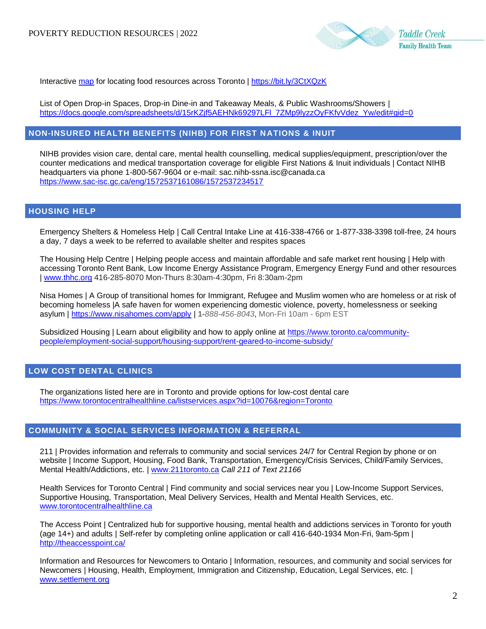

Interactive [map](https://www.google.com/maps/d/u/0/viewer?ll=43.71677053725505%2C-79.44327405820513&z=11&mid=1MpTS0uhS8WNsUGAm0S8rce122crYP0lS) for locating food resources across Toronto |<https://bit.ly/3CtXQzK>

List of Open Drop-in Spaces, Drop-in Dine-in and Takeaway Meals, & Public Washrooms/Showers | [https://docs.google.com/spreadsheets/d/15rKZjf5AEHNk69297LFl\\_7ZMp9lyzzOyFKfvVdez\\_Yw/edit#gid=0](https://docs.google.com/spreadsheets/d/15rKZjf5AEHNk69297LFl_7ZMp9lyzzOyFKfvVdez_Yw/edit#gid=0)

## **NON-INSURED HEALTH BENEFITS (NIHB) FOR FIRST NATIONS & INUIT**

NIHB provides vision care, dental care, mental health counselling, medical supplies/equipment, prescription/over the counter medications and medical transportation coverage for eligible First Nations & Inuit individuals | Contact NIHB headquarters via phone 1-800-567-9604 or e-mail: sac.nihb-ssna.isc@canada.ca <https://www.sac-isc.gc.ca/eng/1572537161086/1572537234517>

### **HOUSING HELP**

Emergency Shelters & Homeless Help | Call Central Intake Line at 416-338-4766 or 1-877-338-3398 toll-free, 24 hours a day, 7 days a week to be referred to available shelter and respites spaces

The Housing Help Centre | Helping people access and maintain affordable and safe market rent housing | Help with accessing Toronto Rent Bank, Low Income Energy Assistance Program, Emergency Energy Fund and other resources | [www.thhc.org](http://www.thhc.org/) 416-285-8070 Mon-Thurs 8:30am-4:30pm, Fri 8:30am-2pm

Nisa Homes | A Group of transitional homes for Immigrant, Refugee and Muslim women who are homeless or at risk of becoming homeless |A safe haven for women experiencing domestic violence, poverty, homelessness or seeking asylum |<https://www.nisahomes.com/apply> | **1-***888-456-8043*, Mon-Fri 10am - 6pm EST

Subsidized Housing | Learn about eligibility and how to apply online at [https://www.toronto.ca/community](https://www.toronto.ca/community-people/employment-social-support/housing-support/rent-geared-to-income-subsidy/)[people/employment-social-support/housing-support/rent-geared-to-income-subsidy/](https://www.toronto.ca/community-people/employment-social-support/housing-support/rent-geared-to-income-subsidy/)

# **LOW COST DENTAL CLINICS**

The organizations listed here are in Toronto and provide options for low-cost dental care [https://www.torontocentralhealthline.ca/listservices.aspx?id=10076&region=Toronto](https://www.torontocentralhealthline.ca/listservices.aspx?id=10076®ion=Toronto)

#### **COMMUNITY & SOCIAL SERVICES INFORMATION & REFERRAL**

211 | Provides information and referrals to community and social services 24/7 for Central Region by phone or on website | Income Support, Housing, Food Bank, Transportation, Emergency/Crisis Services, Child/Family Services, Mental Health/Addictions, etc. | [www.211toronto.ca](http://www.211toronto.ca/) *Call 211 of Text 21166*

Health Services for Toronto Central | Find community and social services near you | Low-Income Support Services, Supportive Housing, Transportation, Meal Delivery Services, Health and Mental Health Services, etc. [www.torontocentralhealthline.ca](http://www.torontocentralhealthline.ca/)

The Access Point | Centralized hub for supportive housing, mental health and addictions services in Toronto for youth (age 14+) and adults | Self-refer by completing online application or call 416-640-1934 Mon-Fri, 9am-5pm | <http://theaccesspoint.ca/>

Information and Resources for Newcomers to Ontario | Information, resources, and community and social services for Newcomers | Housing, Health, Employment, Immigration and Citizenship, Education, Legal Services, etc. | [www.settlement.org](http://www.settlement.org/)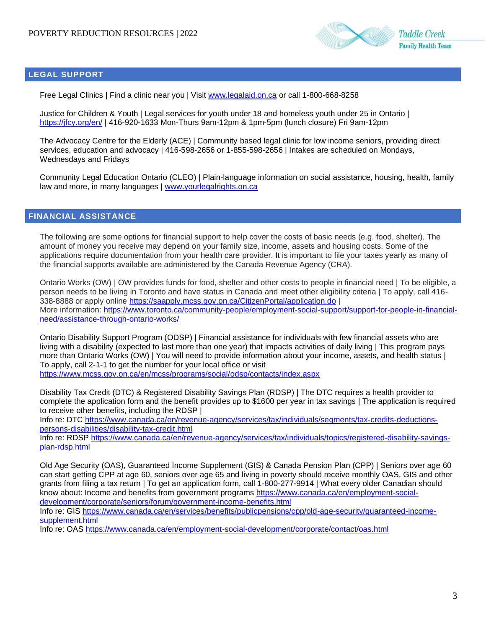

# **LEGAL SUPPORT**

Free Legal Clinics | Find a clinic near you | Visit [www.legalaid.on.ca](http://www.legalaid.on.ca/) or call 1-800-668-8258

Justice for Children & Youth | Legal services for youth under 18 and homeless youth under 25 in Ontario | <https://jfcy.org/en/> | 416-920-1633 Mon-Thurs 9am-12pm & 1pm-5pm (lunch closure) Fri 9am-12pm

The Advocacy Centre for the Elderly (ACE) | Community based legal clinic for low income seniors, providing direct services, education and advocacy | 416-598-2656 or 1-855-598-2656 | Intakes are scheduled on Mondays, Wednesdays and Fridays

Community Legal Education Ontario (CLEO) | Plain-language information on social assistance, housing, health, family law and more, in many languages | [www.yourlegalrights.on.ca](http://www.yourlegalrights.on.ca/)

# **FINANCIAL ASSISTANCE**

The following are some options for financial support to help cover the costs of basic needs (e.g. food, shelter). The amount of money you receive may depend on your family size, income, assets and housing costs. Some of the applications require documentation from your health care provider. It is important to file your taxes yearly as many of the financial supports available are administered by the Canada Revenue Agency (CRA).

Ontario Works (OW) | OW provides funds for food, shelter and other costs to people in financial need | To be eligible, a person needs to be living in Toronto and have status in Canada and meet other eligibility criteria | To apply, call 416- 338-8888 or apply online<https://saapply.mcss.gov.on.ca/CitizenPortal/application.do> | More information: [https://www.toronto.ca/community-people/employment-social-support/support-for-people-in-financial](https://www.toronto.ca/community-people/employment-social-support/support-for-people-in-financial-need/assistance-through-ontario-works/)[need/assistance-through-ontario-works/](https://www.toronto.ca/community-people/employment-social-support/support-for-people-in-financial-need/assistance-through-ontario-works/)

Ontario Disability Support Program (ODSP) | Financial assistance for individuals with few financial assets who are living with a disability (expected to last more than one year) that impacts activities of daily living | This program pays more than Ontario Works (OW) | You will need to provide information about your income, assets, and health status | To apply, call 2-1-1 to get the number for your local office or visit

<https://www.mcss.gov.on.ca/en/mcss/programs/social/odsp/contacts/index.aspx>

Disability Tax Credit (DTC) & Registered Disability Savings Plan (RDSP) | The DTC requires a health provider to complete the application form and the benefit provides up to \$1600 per year in tax savings | The application is required to receive other benefits, including the RDSP |

Info re: DTC [https://www.canada.ca/en/revenue-agency/services/tax/individuals/segments/tax-credits-deductions](https://www.canada.ca/en/revenue-agency/services/tax/individuals/segments/tax-credits-deductions-persons-disabilities/disability-tax-credit.html)[persons-disabilities/disability-tax-credit.html](https://www.canada.ca/en/revenue-agency/services/tax/individuals/segments/tax-credits-deductions-persons-disabilities/disability-tax-credit.html)

Info re: RDSP [https://www.canada.ca/en/revenue-agency/services/tax/individuals/topics/registered-disability-savings](https://www.canada.ca/en/revenue-agency/services/tax/individuals/topics/registered-disability-savings-plan-rdsp.html)[plan-rdsp.html](https://www.canada.ca/en/revenue-agency/services/tax/individuals/topics/registered-disability-savings-plan-rdsp.html)

Old Age Security (OAS), Guaranteed Income Supplement (GIS) & Canada Pension Plan (CPP) | Seniors over age 60 can start getting CPP at age 60, seniors over age 65 and living in poverty should receive monthly OAS, GIS and other grants from filing a tax return | To get an application form, call 1-800-277-9914 | What every older Canadian should know about: Income and benefits from government programs [https://www.canada.ca/en/employment-social](https://www.canada.ca/en/employment-social-development/corporate/seniors/forum/government-income-benefits.html)[development/corporate/seniors/forum/government-income-benefits.html](https://www.canada.ca/en/employment-social-development/corporate/seniors/forum/government-income-benefits.html)

Info re: GIS [https://www.canada.ca/en/services/benefits/publicpensions/cpp/old-age-security/guaranteed-income](https://www.canada.ca/en/services/benefits/publicpensions/cpp/old-age-security/guaranteed-income-supplement.html)[supplement.html](https://www.canada.ca/en/services/benefits/publicpensions/cpp/old-age-security/guaranteed-income-supplement.html)

Info re: OAS<https://www.canada.ca/en/employment-social-development/corporate/contact/oas.html>